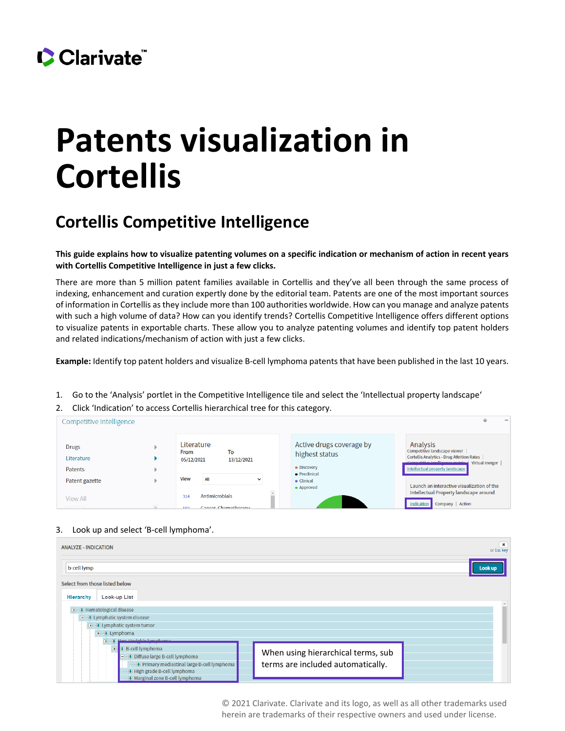

## **Patents visualization in Cortellis**

## **Cortellis Competitive Intelligence**

**This guide explains how to visualize patenting volumes on a specific indication or mechanism of action in recent years with Cortellis Competitive Intelligence in just a few clicks.** 

There are more than 5 million patent families available in Cortellis and they've all been through the same process of indexing, enhancement and curation expertly done by the editorial team. Patents are one of the most important sources of information in Cortellis as they include more than 100 authorities worldwide. How can you manage and analyze patents with such a high volume of data? How can you identify trends? Cortellis Competitive lntelligence offers different options to visualize patents in exportable charts. These allow you to analyze patenting volumes and identify top patent holders and related indications/mechanism of action with just a few clicks.

**Example:** Identify top patent holders and visualize B-cell lymphoma patents that have been published in the last 10 years.

- 1. Go to the 'Analysis' portlet in the Competitive Intelligence tile and select the 'Intellectual property landscape'
- 2. Click 'Indication' to access Cortellis hierarchical tree for this category.

| Competitive Intelligence                     |                                         |                                              |                                                   |                                                           | $\overline{\phantom{a}}$                                                                                                                                                           |
|----------------------------------------------|-----------------------------------------|----------------------------------------------|---------------------------------------------------|-----------------------------------------------------------|------------------------------------------------------------------------------------------------------------------------------------------------------------------------------------|
| <b>Drugs</b><br>Literature<br><b>Patents</b> | Literature<br><b>From</b><br>05/12/2021 | To<br>13/12/2021                             |                                                   | Active drugs coverage by<br>highest status<br>· Discovery | Analysis<br>Competitive landscape viewer<br><b>Cortellis Analytics - Drug Attrition Rates</b><br>Compositivo intolligonco matrix Virtual merger<br>Intellectual property landscape |
| Patent gazette                               | <b>View</b>                             | All<br>$\checkmark$                          | • Preclinical<br>$\bullet$ Clinical<br>• Approved |                                                           | Launch an interactive visualization of the                                                                                                                                         |
| View All                                     | 314<br><b>EEQ</b>                       | <b>Antimicrobials</b><br>Cancer Chemotherany |                                                   |                                                           | Intellectual Property landscape around<br>Indication<br>Company   Action                                                                                                           |

## 3. Look up and select 'B-cell lymphoma'.

| <b>ANALYZE - INDICATION</b>                                                                                                                                                           |                                                                         | $\pmb{\times}$<br>or Esc key |
|---------------------------------------------------------------------------------------------------------------------------------------------------------------------------------------|-------------------------------------------------------------------------|------------------------------|
| b-cell lymp                                                                                                                                                                           |                                                                         | Look up                      |
| Select from those listed below<br><b>Look-up List</b><br>Hierarchy                                                                                                                    |                                                                         |                              |
| <b>T</b> -T Hematological disease<br><b>THE Lymphatic system disease</b><br><b>E</b> -B Lymphatic system tumor<br>$E - E$ Lymphoma<br><b>T</b> - Mon Hodakin humphoms                 |                                                                         |                              |
| <b>B-cell lymphoma</b><br>$\blacksquare$<br>Diffuse large B-cell lymphoma<br>Primary mediastinal large B-cell lymphoma<br>High grade B-cell lymphoma<br>Marginal zone B-cell lymphoma | When using hierarchical terms, sub<br>terms are included automatically. |                              |

© 2021 Clarivate. Clarivate and its logo, as well as all other trademarks used herein are trademarks of their respective owners and used under license.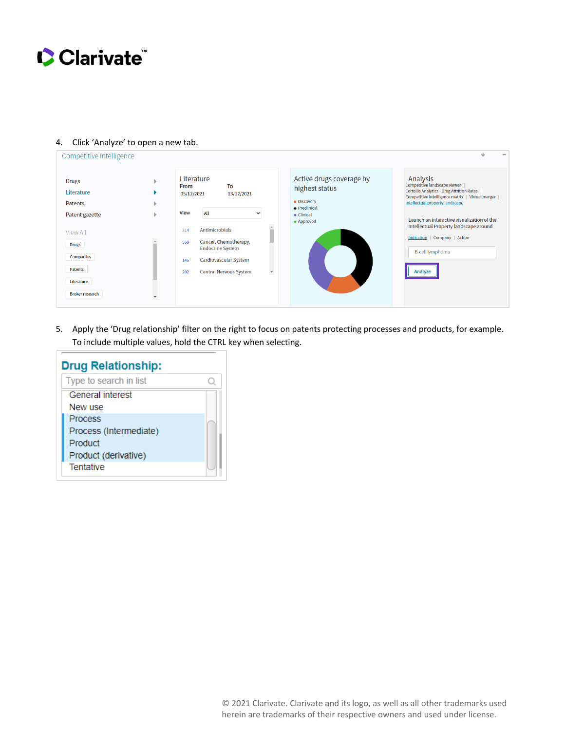

| Competitive Intelligence                                                                                                                                   |              |                                                                                           |                                                                                                                                                         |         |                                                                                                        | $\sim$                                                                                                                                                                                                                                                                                                                                               |
|------------------------------------------------------------------------------------------------------------------------------------------------------------|--------------|-------------------------------------------------------------------------------------------|---------------------------------------------------------------------------------------------------------------------------------------------------------|---------|--------------------------------------------------------------------------------------------------------|------------------------------------------------------------------------------------------------------------------------------------------------------------------------------------------------------------------------------------------------------------------------------------------------------------------------------------------------------|
| <b>Drugs</b><br>Literature<br><b>Patents</b><br>Patent gazette<br>View All<br><b>Drugs</b><br>Companies<br>Patents<br>Literature<br><b>Broker research</b> | $\checkmark$ | Literature<br><b>From</b><br>05/12/2021<br><b>View</b><br>All<br>314<br>559<br>146<br>202 | To<br>13/12/2021<br><b>Antimicrobials</b><br>Cancer, Chemotherapy,<br><b>Endocrine System</b><br>Cardiovascular System<br><b>Central Nervous System</b> | $\star$ | Active drugs coverage by<br>highest status<br>• Discovery<br>• Preclinical<br>• Clinical<br>• Approved | Analysis<br>Competitive landscape viewer<br><b>Cortellis Analytics - Drug Attrition Rates</b><br>Competitive intelligence matrix   Virtual merger  <br>Intellectual property landscape<br>Launch an interactive visualization of the<br>Intellectual Property landscape around<br>Indication   Company   Action<br><b>B-cell lymphoma</b><br>Analyze |

## 4. Click 'Analyze' to open a new tab.

5. Apply the 'Drug relationship' filter on the right to focus on patents protecting processes and products, for example. To include multiple values, hold the CTRL key when selecting.

| <b>Drug Relationship:</b> |  |
|---------------------------|--|
| Type to search in list    |  |
| General interest          |  |
| New use                   |  |
| <b>Process</b>            |  |
| Process (Intermediate)    |  |
| Product                   |  |
| Product (derivative)      |  |
| <b>Tentative</b>          |  |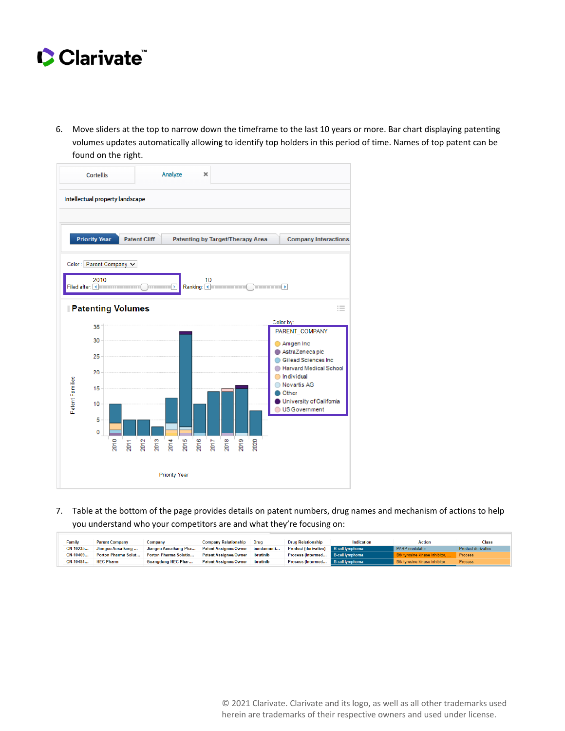

6. Move sliders at the top to narrow down the timeframe to the last 10 years or more. Bar chart displaying patenting volumes updates automatically allowing to identify top holders in this period of time. Names of top patent can be found on the right.



7. Table at the bottom of the page provides details on patent numbers, drug names and mechanism of actions to help you understand who your competitors are and what they're focusing on:

| Family     | <b>Parent Company</b> | Company                   | <b>Company Relationship</b>  | Drua       | <b>Drug Relationship</b>          | Indication             | <b>Action</b>                 | <b>Class</b>       |
|------------|-----------------------|---------------------------|------------------------------|------------|-----------------------------------|------------------------|-------------------------------|--------------------|
| CN-10235   | Jiangsu Aosaikang     | Jiangsu Aosaikang Pha     | <b>Patent Assignee/Owner</b> | bendamusti | <b>Product (derivative)</b>       | <b>B-cell lymphoma</b> | PARP modulator                | Product derivative |
| $CN-10469$ | Porton Pharma Solut   | Porton Pharma Solutio     | <b>Patent Assignee/Owner</b> | ibrutinib  | Process (Intermed B-cell lymphoma |                        | Btk tyrosine kinase inhibitor | Process            |
| $CN-10494$ | <b>HEC Pharm</b>      | <b>Guangdong HEC Phar</b> | <b>Patent Assignee/Owner</b> | ibrutinib  | Process (Intermed B-cell lymphoma |                        | Btk tyrosine kinase inhibitor | <b>Process</b>     |